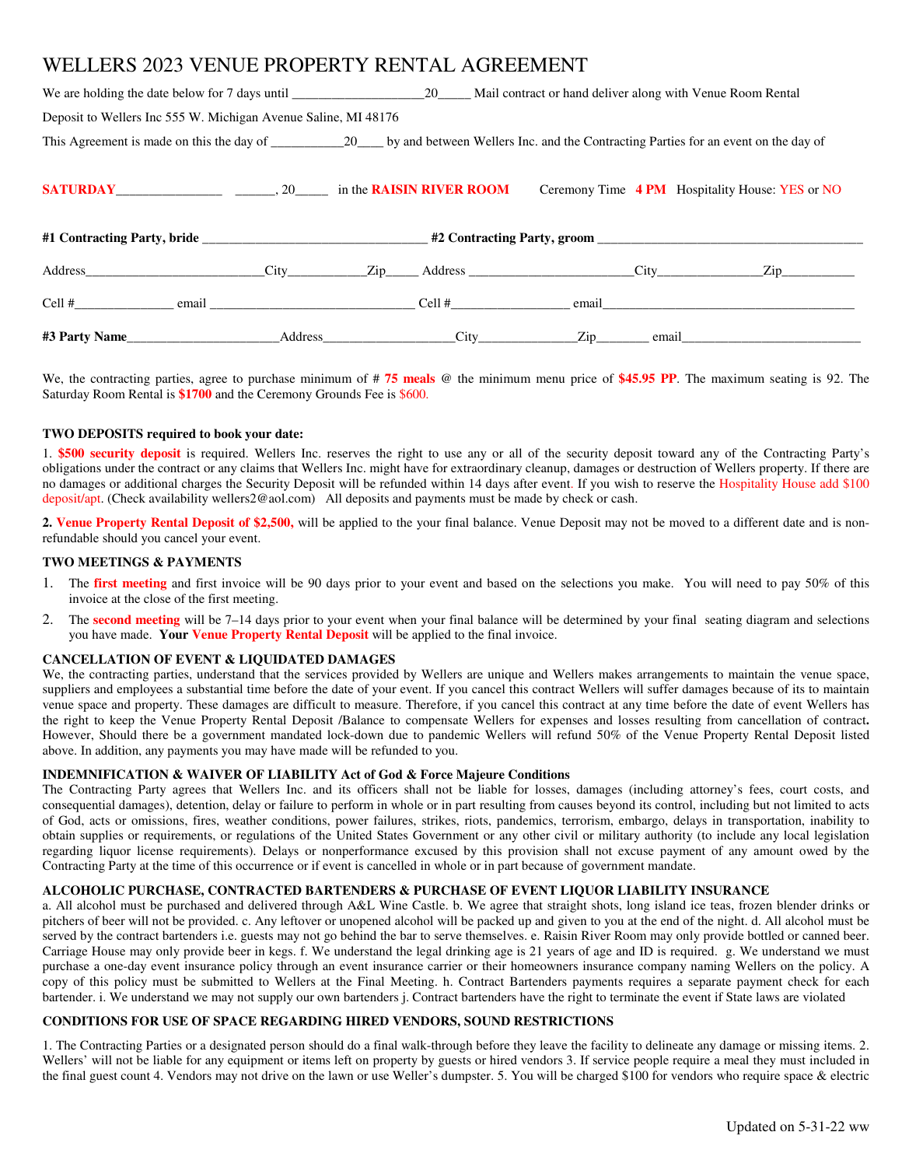# WELLERS 2023 VENUE PROPERTY RENTAL AGREEMENT

|                                                                |  |  | We are holding the date below for 7 days until ___________________________________ Mail contract or hand deliver along with Venue Room Rental |  |  |  |  |
|----------------------------------------------------------------|--|--|-----------------------------------------------------------------------------------------------------------------------------------------------|--|--|--|--|
| Deposit to Wellers Inc 555 W. Michigan Avenue Saline, MI 48176 |  |  |                                                                                                                                               |  |  |  |  |
|                                                                |  |  |                                                                                                                                               |  |  |  |  |
|                                                                |  |  |                                                                                                                                               |  |  |  |  |
|                                                                |  |  |                                                                                                                                               |  |  |  |  |
|                                                                |  |  |                                                                                                                                               |  |  |  |  |
|                                                                |  |  |                                                                                                                                               |  |  |  |  |
|                                                                |  |  |                                                                                                                                               |  |  |  |  |

We, the contracting parties, agree to purchase minimum of # **75 meals** @ the minimum menu price of **\$45.95 PP**. The maximum seating is 92. The Saturday Room Rental is **\$1700** and the Ceremony Grounds Fee is \$600.

# **TWO DEPOSITS required to book your date:**

1. **\$500 security deposit** is required. Wellers Inc. reserves the right to use any or all of the security deposit toward any of the Contracting Party's obligations under the contract or any claims that Wellers Inc. might have for extraordinary cleanup, damages or destruction of Wellers property. If there are no damages or additional charges the Security Deposit will be refunded within 14 days after event. If you wish to reserve the Hospitality House add \$100 deposit/apt. (Check availability wellers2@aol.com) All deposits and payments must be made by check or cash.

**2. Venue Property Rental Deposit of \$2,500,** will be applied to the your final balance. Venue Deposit may not be moved to a different date and is nonrefundable should you cancel your event.

# **TWO MEETINGS & PAYMENTS**

- 1. The **first meeting** and first invoice will be 90 days prior to your event and based on the selections you make. You will need to pay 50% of this invoice at the close of the first meeting.
- 2. The **second meeting** will be 7–14 days prior to your event when your final balance will be determined by your final seating diagram and selections you have made. **Your Venue Property Rental Deposit** will be applied to the final invoice.

# **CANCELLATION OF EVENT & LIQUIDATED DAMAGES**

We, the contracting parties, understand that the services provided by Wellers are unique and Wellers makes arrangements to maintain the venue space, suppliers and employees a substantial time before the date of your event. If you cancel this contract Wellers will suffer damages because of its to maintain venue space and property. These damages are difficult to measure. Therefore, if you cancel this contract at any time before the date of event Wellers has the right to keep the Venue Property Rental Deposit /Balance to compensate Wellers for expenses and losses resulting from cancellation of contract**.** However, Should there be a government mandated lock-down due to pandemic Wellers will refund 50% of the Venue Property Rental Deposit listed above. In addition, any payments you may have made will be refunded to you.

# **INDEMNIFICATION & WAIVER OF LIABILITY Act of God & Force Majeure Conditions**

The Contracting Party agrees that Wellers Inc. and its officers shall not be liable for losses, damages (including attorney's fees, court costs, and consequential damages), detention, delay or failure to perform in whole or in part resulting from causes beyond its control, including but not limited to acts of God, acts or omissions, fires, weather conditions, power failures, strikes, riots, pandemics, terrorism, embargo, delays in transportation, inability to obtain supplies or requirements, or regulations of the United States Government or any other civil or military authority (to include any local legislation regarding liquor license requirements). Delays or nonperformance excused by this provision shall not excuse payment of any amount owed by the Contracting Party at the time of this occurrence or if event is cancelled in whole or in part because of government mandate.

# **ALCOHOLIC PURCHASE, CONTRACTED BARTENDERS & PURCHASE OF EVENT LIQUOR LIABILITY INSURANCE**

a. All alcohol must be purchased and delivered through A&L Wine Castle. b. We agree that straight shots, long island ice teas, frozen blender drinks or pitchers of beer will not be provided. c. Any leftover or unopened alcohol will be packed up and given to you at the end of the night. d. All alcohol must be served by the contract bartenders i.e. guests may not go behind the bar to serve themselves. e. Raisin River Room may only provide bottled or canned beer. Carriage House may only provide beer in kegs. f. We understand the legal drinking age is 21 years of age and ID is required. g. We understand we must purchase a one-day event insurance policy through an event insurance carrier or their homeowners insurance company naming Wellers on the policy. A copy of this policy must be submitted to Wellers at the Final Meeting. h. Contract Bartenders payments requires a separate payment check for each bartender. i. We understand we may not supply our own bartenders j. Contract bartenders have the right to terminate the event if State laws are violated

# **CONDITIONS FOR USE OF SPACE REGARDING HIRED VENDORS, SOUND RESTRICTIONS**

1. The Contracting Parties or a designated person should do a final walk-through before they leave the facility to delineate any damage or missing items. 2. Wellers' will not be liable for any equipment or items left on property by guests or hired vendors 3. If service people require a meal they must included in the final guest count 4. Vendors may not drive on the lawn or use Weller's dumpster. 5. You will be charged \$100 for vendors who require space & electric